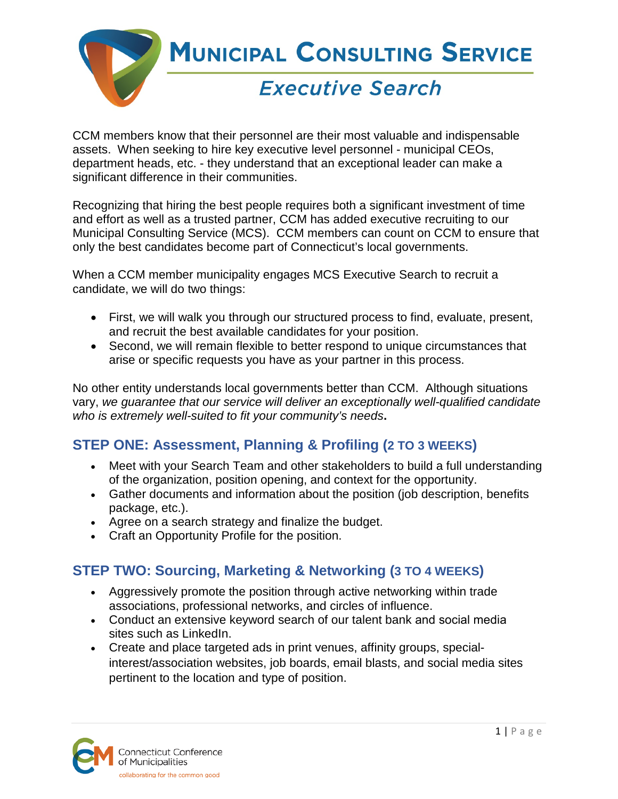

CCM members know that their personnel are their most valuable and indispensable assets. When seeking to hire key executive level personnel - municipal CEOs, department heads, etc. - they understand that an exceptional leader can make a significant difference in their communities.

Recognizing that hiring the best people requires both a significant investment of time and effort as well as a trusted partner, CCM has added executive recruiting to our Municipal Consulting Service (MCS). CCM members can count on CCM to ensure that only the best candidates become part of Connecticut's local governments.

When a CCM member municipality engages MCS Executive Search to recruit a candidate, we will do two things:

- First, we will walk you through our structured process to find, evaluate, present, and recruit the best available candidates for your position.
- Second, we will remain flexible to better respond to unique circumstances that arise or specific requests you have as your partner in this process.

No other entity understands local governments better than CCM. Although situations vary, *we guarantee that our service will deliver an exceptionally well-qualified candidate who is extremely well-suited to fit your community's needs***.** 

# **STEP ONE: Assessment, Planning & Profiling (2 TO 3 WEEKS)**

- Meet with your Search Team and other stakeholders to build a full understanding of the organization, position opening, and context for the opportunity.
- Gather documents and information about the position (job description, benefits package, etc.).
- Agree on a search strategy and finalize the budget.
- Craft an Opportunity Profile for the position.

## **STEP TWO: Sourcing, Marketing & Networking (3 TO 4 WEEKS)**

- Aggressively promote the position through active networking within trade associations, professional networks, and circles of influence.
- Conduct an extensive keyword search of our talent bank and social media sites such as LinkedIn.
- Create and place targeted ads in print venues, affinity groups, specialinterest/association websites, job boards, email blasts, and social media sites pertinent to the location and type of position.